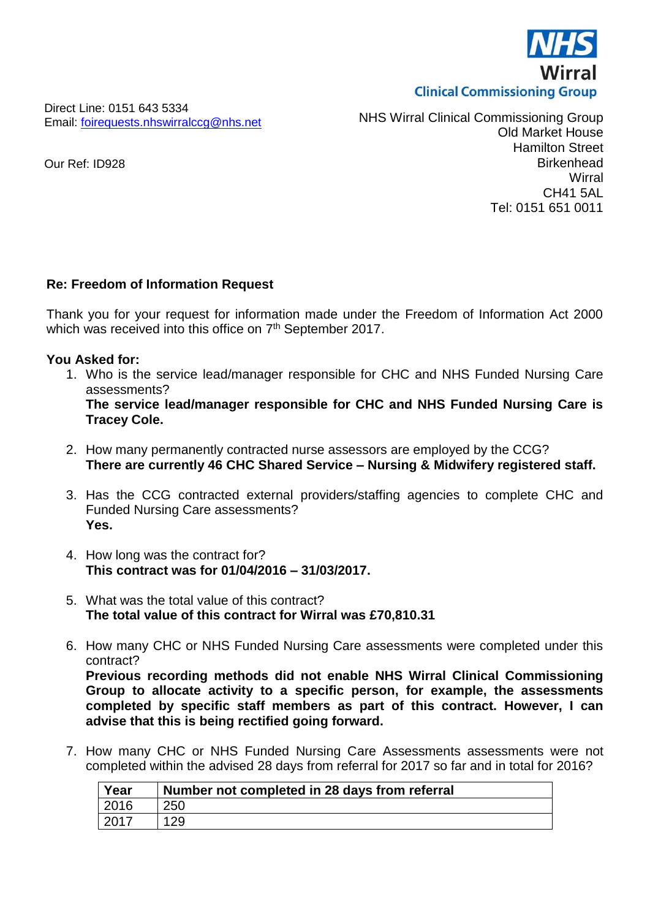

Direct Line: 0151 643 5334 Email: [foirequests.nhswirralccg@nhs.net](mailto:foirequests.nhswirralccg@nhs.net)

NHS Wirral Clinical Commissioning Group Old Market House Hamilton Street **Birkenhead Wirral** CH41 5AL Tel: 0151 651 0011

## **Re: Freedom of Information Request**

Thank you for your request for information made under the Freedom of Information Act 2000 which was received into this office on 7<sup>th</sup> September 2017.

## **You Asked for:**

1. Who is the service lead/manager responsible for CHC and NHS Funded Nursing Care assessments?

**The service lead/manager responsible for CHC and NHS Funded Nursing Care is Tracey Cole.**

- 2. How many permanently contracted nurse assessors are employed by the CCG? **There are currently 46 CHC Shared Service – Nursing & Midwifery registered staff.**
- 3. Has the CCG contracted external providers/staffing agencies to complete CHC and Funded Nursing Care assessments? **Yes.**
- 4. How long was the contract for? **This contract was for 01/04/2016 – 31/03/2017.**
- 5. What was the total value of this contract? **The total value of this contract for Wirral was £70,810.31**
- 6. How many CHC or NHS Funded Nursing Care assessments were completed under this contract? **Previous recording methods did not enable NHS Wirral Clinical Commissioning**

**Group to allocate activity to a specific person, for example, the assessments completed by specific staff members as part of this contract. However, I can advise that this is being rectified going forward.**

7. How many CHC or NHS Funded Nursing Care Assessments assessments were not completed within the advised 28 days from referral for 2017 so far and in total for 2016?

| Year | Number not completed in 28 days from referral |
|------|-----------------------------------------------|
| 2016 | 250                                           |
| 2017 | 129                                           |

Our Ref: ID928